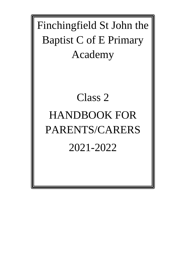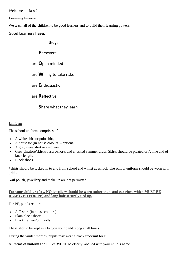Welcome to class 2

# **Learning Powers**

We teach all of the children to be good learners and to build their learning powers.

# Good Learners **have;**

 **they;**

**P**ersevere

are **O**pen minded

are **W**illing to take risks

are **E**nthusiastic

are **R**eflective

**S**hare what they learn

# **Uniform**

The school uniform comprises of

- A white shirt or polo shirt,
- A house tie (in house colours) optional
- A grey sweatshirt or cardigan
- Grey pinafore/skirt/trousers/shorts and checked summer dress. Skirts should be pleated or A-line and of knee length.
- Black shoes.

\*shirts should be tucked in to and from school and whilst at school. The school uniform should be worn with pride.

Nail polish, jewellery and make up are not permitted.

# **For your child's safety, NO jewellery should be worn (other than stud ear rings which MUST BE REMOVED FOR PE) and long hair securely tied up.**

### For PE, pupils require

- A T-shirt (in house colours)
- Plain black shorts
- Black trainers/plimsolls.

These should be kept in a bag on your child's peg at all times.

During the winter months, pupils may wear a black tracksuit for PE.

All items of uniform and PE kit **MUST** be clearly labelled with your child's name.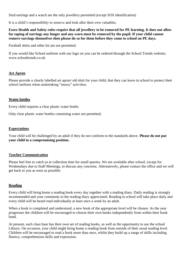Stud earrings and a watch are the only jewellery permitted (except SOS identification)

It is a child's responsibility to remove and look after their own valuables.

**Essex Health and Safety rules require that all jewellery to be removed for PE learning. It does not allow for taping of earrings any longer and any worn must be removed by the pupil. If your child cannot remove earrings themselves then please do so for them before they come to school on PE days.**

Football shirts and other kit are not permitted.

If you would like School uniform with our logo on you can be ordered through the School Trends website; www.schooltrends.co.uk

### **Art Apron**

Please provide a clearly labelled art apron/ old shirt for your child, that they can leave in school to protect their school uniform when undertaking "messy" activities.

#### **Water bottles**

Every child requires a clear plastic water bottle.

Only clear plastic water bottles containing water are permitted.

### **Expectations**

Your child will be challenged by an adult if they do not conform to the standards above. **Please do not put your child in a compromising position.**

### **Teacher Communication**

Please feel free to catch us at collection time for small queries. We are available after school, except for Wednesdays due to Staff Meetings, to discuss any concerns. Alternatively, please contact the office and we will get back to you as soon as possible.

#### **Reading**

Every child will bring home a reading book every day together with a reading diary. Daily reading is strongly recommended and your comments in the reading diary appreciated. Reading in school will take place daily and every child will be heard read individually at least once a week by an adult.

When a book is completed and understood, a new book of the appropriate level will be chosen. As the year progresses the children will be encouraged to choose their own books independently from within their book band.

At present, each class base has their own set of reading books, as well as the opportunity to use the school Library. On occasion, your child might bring home a reading book from outside of their usual reading level. Children will be encouraged to read a book more than once, whilst they build up a range of skills including fluency, comprehension skills and expression.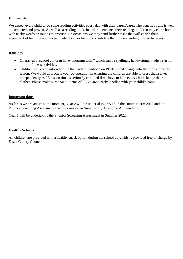### **Homework**

We expect every child to do some reading activities every day with their parent/carer. The benefit of this is well documented and proven. As well as a reading book, in order to enhance their reading, children may come home with tricky words or sounds to practise. On occasions we may send further tasks that will enrich their enjoyment of learning about a particular topic or help to consolidate their understanding in specific areas.

### **Routines**

- On arrival at school children have "morning tasks" which can be spellings, handwriting, maths revision or mindfulness activities.
- Children will come into school in their school uniform on PE days and change into their PE kit for the lesson. We would appreciate your co-operation in ensuring the children are able to dress themselves independently as PE lesson time is seriously curtailed if we have to help every child change their clothes. Please make sure that all items of PE kit are clearly labelled with your child's name.

#### **Important dates**

As far as we are aware at the moment, Year 2 will be undertaking SATS in the summer term 2022 and the Phonics Screening Assessment that they missed in Summer 21, during the Autumn term.

Year 1 will be undertaking the Phonics Screening Assessment in Summer 2022.

#### **Healthy Schools**

All children are provided with a healthy snack option during the school day. This is provided free of charge by Essex County Council.